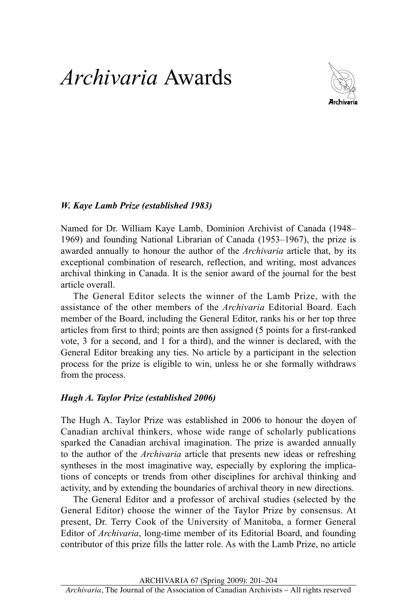## *Archivaria* Awards



## *W. Kaye Lamb Prize (established 1983)*

 Named for Dr. William Kaye Lamb, Dominion Archivist of Canada (1948– awarded annually to honour the author of the *Archivaria* article that, by its exceptional combination of research, reflection, and writing, most advances 1969) and founding National Librarian of Canada (1953–1967), the prize is archival thinking in Canada. It is the senior award of the journal for the best article overall.

 The General Editor selects the winner of the Lamb Prize, with the assistance of the other members of the *Archivaria* Editorial Board. Each member of the Board, including the General Editor, ranks his or her top three articles from first to third; points are then assigned (5 points for a first-ranked vote, 3 for a second, and 1 for a third), and the winner is declared, with the General Editor breaking any ties. No article by a participant in the selection process for the prize is eligible to win, unless he or she formally withdraws from the process.

## *Hugh A. Taylor Prize (established 2006)*

 The Hugh A. Taylor Prize was established in 2006 to honour the doyen of Canadian archival thinkers, whose wide range of scholarly publications sparked the Canadian archival imagination. The prize is awarded annually to the author of the *Archivaria* article that presents new ideas or refreshing tions of concepts or trends from other disciplines for archival thinking and syntheses in the most imaginative way, especially by exploring the implicaactivity, and by extending the boundaries of archival theory in new directions.

 The General Editor and a professor of archival studies (selected by the General Editor) choose the winner of the Taylor Prize by consensus. At present, Dr. Terry Cook of the University of Manitoba, a former General Editor of *Archivaria*, long-time member of its Editorial Board, and founding contributor of this prize fills the latter role. As with the Lamb Prize, no article

ArchivAriA 67 (Spring 2009): 201–204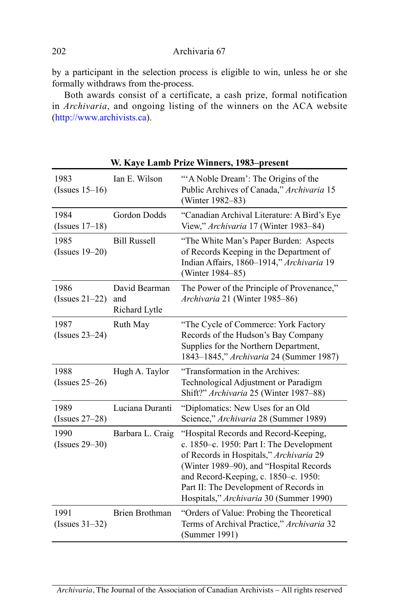by a participant in the selection process is eligible to win, unless he or she formally withdraws from the-process.

 Both awards consist of a certificate, a cash prize, formal notification in *Archivaria*, and ongoing listing of the winners on the ACA website (http://www.archivists.ca).

| 1983<br>$(Issues 15-16)$  | Ian E. Wilson                         | "A Noble Dream': The Origins of the<br>Public Archives of Canada," Archivaria 15<br>(Winter 1982–83)                                                                                                                                                                                                 |
|---------------------------|---------------------------------------|------------------------------------------------------------------------------------------------------------------------------------------------------------------------------------------------------------------------------------------------------------------------------------------------------|
| 1984<br>$(Issues 17-18)$  | Gordon Dodds                          | "Canadian Archival Literature: A Bird's Eye<br>View," Archivaria 17 (Winter 1983-84)                                                                                                                                                                                                                 |
| 1985<br>$(Issues 19-20)$  | <b>Bill Russell</b>                   | "The White Man's Paper Burden: Aspects<br>of Records Keeping in the Department of<br>Indian Affairs, 1860-1914," Archivaria 19<br>(Winter 1984–85)                                                                                                                                                   |
| 1986<br>$(Issues 21-22)$  | David Bearman<br>and<br>Richard Lytle | The Power of the Principle of Provenance,"<br>Archivaria 21 (Winter 1985-86)                                                                                                                                                                                                                         |
| 1987<br>(Issues $23-24$ ) | Ruth May                              | "The Cycle of Commerce: York Factory<br>Records of the Hudson's Bay Company<br>Supplies for the Northern Department,<br>1843-1845," Archivaria 24 (Summer 1987)                                                                                                                                      |
| 1988<br>(Issues $25-26$ ) | Hugh A. Taylor                        | "Transformation in the Archives:<br>Technological Adjustment or Paradigm<br>Shift?" Archivaria 25 (Winter 1987-88)                                                                                                                                                                                   |
| 1989<br>(Issues $27-28$ ) | Luciana Duranti                       | "Diplomatics: New Uses for an Old<br>Science," Archivaria 28 (Summer 1989)                                                                                                                                                                                                                           |
| 1990<br>$(Issues 29-30)$  | Barbara L. Craig                      | "Hospital Records and Record-Keeping,<br>c. 1850–c. 1950: Part I: The Development<br>of Records in Hospitals," Archivaria 29<br>(Winter 1989–90), and "Hospital Records<br>and Record-Keeping, c. 1850-c. 1950:<br>Part II: The Development of Records in<br>Hospitals," Archivaria 30 (Summer 1990) |
| 1991<br>$(Issues 31-32)$  | <b>Brien Brothman</b>                 | "Orders of Value: Probing the Theoretical<br>Terms of Archival Practice," Archivaria 32<br>(Summer 1991)                                                                                                                                                                                             |

**W. Kaye Lamb Prize Winners, 1983–present**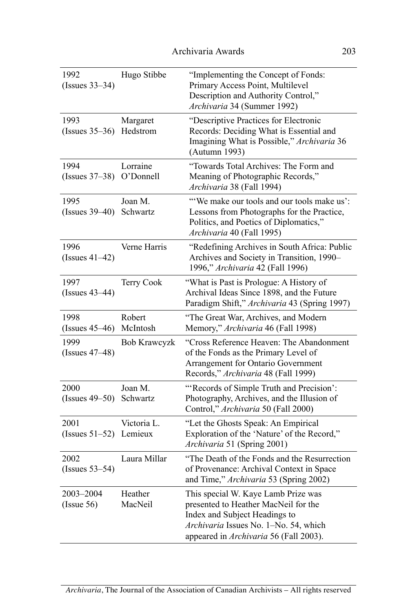| 1992<br>$(Issues 33-34)$        | Hugo Stibbe           | "Implementing the Concept of Fonds:<br>Primary Access Point, Multilevel<br>Description and Authority Control,"<br>Archivaria 34 (Summer 1992)                                                   |
|---------------------------------|-----------------------|-------------------------------------------------------------------------------------------------------------------------------------------------------------------------------------------------|
| 1993<br>(Issues 35-36) Hedstrom | Margaret              | "Descriptive Practices for Electronic<br>Records: Deciding What is Essential and<br>Imagining What is Possible," Archivaria 36<br>(Autumn 1993)                                                 |
| 1994<br>(Issues $37-38$ )       | Lorraine<br>O'Donnell | "Towards Total Archives: The Form and<br>Meaning of Photographic Records,"<br>Archivaria 38 (Fall 1994)                                                                                         |
| 1995<br>(Issues 39-40) Schwartz | Joan M.               | "We make our tools and our tools make us':<br>Lessons from Photographs for the Practice,<br>Politics, and Poetics of Diplomatics,"<br>Archivaria 40 (Fall 1995)                                 |
| 1996<br>$(Issues 41-42)$        | Verne Harris          | "Redefining Archives in South Africa: Public<br>Archives and Society in Transition, 1990-<br>1996," Archivaria 42 (Fall 1996)                                                                   |
| 1997<br>$(Issues 43-44)$        | Terry Cook            | "What is Past is Prologue: A History of<br>Archival Ideas Since 1898, and the Future<br>Paradigm Shift," Archivaria 43 (Spring 1997)                                                            |
| 1998<br>$(Issues 45-46)$        | Robert<br>McIntosh    | "The Great War, Archives, and Modern<br>Memory," Archivaria 46 (Fall 1998)                                                                                                                      |
| 1999<br>(Issues 47–48)          | <b>Bob Krawcyzk</b>   | "Cross Reference Heaven: The Abandonment<br>of the Fonds as the Primary Level of<br>Arrangement for Ontario Government<br>Records," Archivaria 48 (Fall 1999)                                   |
| 2000<br>(Issues 49–50) Schwartz | Joan M.               | "Records of Simple Truth and Precision':<br>Photography, Archives, and the Illusion of<br>Control," Archivaria 50 (Fall 2000)                                                                   |
| 2001<br>(Issues 51-52) Lemieux  | Victoria L.           | "Let the Ghosts Speak: An Empirical<br>Exploration of the 'Nature' of the Record,"<br>Archivaria 51 (Spring 2001)                                                                               |
| 2002<br>$(Issues 53-54)$        | Laura Millar          | "The Death of the Fonds and the Resurrection"<br>of Provenance: Archival Context in Space<br>and Time," Archivaria 53 (Spring 2002)                                                             |
| 2003-2004<br>(Issue 56)         | Heather<br>MacNeil    | This special W. Kaye Lamb Prize was<br>presented to Heather MacNeil for the<br>Index and Subject Headings to<br>Archivaria Issues No. 1-No. 54, which<br>appeared in Archivaria 56 (Fall 2003). |